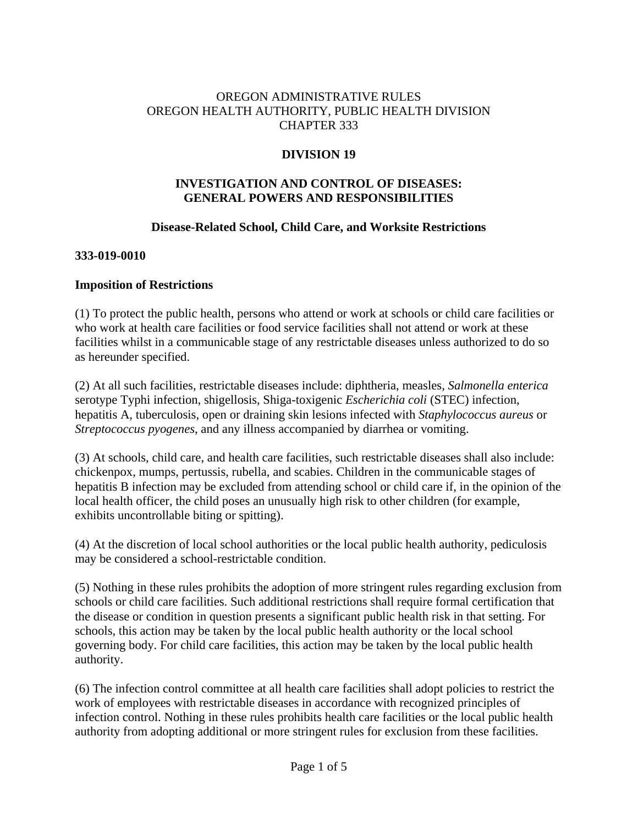# OREGON ADMINISTRATIVE RULES OREGON HEALTH AUTHORITY, PUBLIC HEALTH DIVISION CHAPTER 333

# **DIVISION 19**

# **INVESTIGATION AND CONTROL OF DISEASES: GENERAL POWERS AND RESPONSIBILITIES**

### **Disease-Related School, Child Care, and Worksite Restrictions**

### **333-019-0010**

### **Imposition of Restrictions**

(1) To protect the public health, persons who attend or work at schools or child care facilities or who work at health care facilities or food service facilities shall not attend or work at these facilities whilst in a communicable stage of any restrictable diseases unless authorized to do so as hereunder specified.

(2) At all such facilities, restrictable diseases include: diphtheria, measles, *Salmonella enterica* serotype Typhi infection, shigellosis, Shiga-toxigenic *Escherichia coli* (STEC) infection, hepatitis A, tuberculosis, open or draining skin lesions infected with *Staphylococcus aureus* or *Streptococcus pyogenes*, and any illness accompanied by diarrhea or vomiting.

(3) At schools, child care, and health care facilities, such restrictable diseases shall also include: chickenpox, mumps, pertussis, rubella, and scabies. Children in the communicable stages of hepatitis B infection may be excluded from attending school or child care if, in the opinion of the local health officer, the child poses an unusually high risk to other children (for example, exhibits uncontrollable biting or spitting).

(4) At the discretion of local school authorities or the local public health authority, pediculosis may be considered a school-restrictable condition.

(5) Nothing in these rules prohibits the adoption of more stringent rules regarding exclusion from schools or child care facilities. Such additional restrictions shall require formal certification that the disease or condition in question presents a significant public health risk in that setting. For schools, this action may be taken by the local public health authority or the local school governing body. For child care facilities, this action may be taken by the local public health authority.

(6) The infection control committee at all health care facilities shall adopt policies to restrict the work of employees with restrictable diseases in accordance with recognized principles of infection control. Nothing in these rules prohibits health care facilities or the local public health authority from adopting additional or more stringent rules for exclusion from these facilities.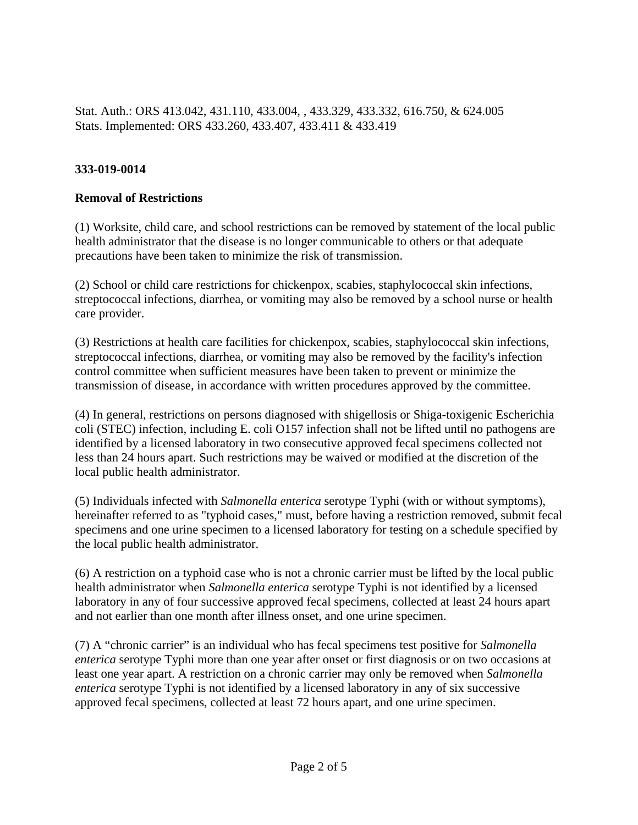Stat. Auth.: ORS 413.042, 431.110, 433.004, , 433.329, 433.332, 616.750, & 624.005 Stats. Implemented: ORS 433.260, 433.407, 433.411 & 433.419

# **333-019-0014**

### **Removal of Restrictions**

(1) Worksite, child care, and school restrictions can be removed by statement of the local public health administrator that the disease is no longer communicable to others or that adequate precautions have been taken to minimize the risk of transmission.

(2) School or child care restrictions for chickenpox, scabies, staphylococcal skin infections, streptococcal infections, diarrhea, or vomiting may also be removed by a school nurse or health care provider.

(3) Restrictions at health care facilities for chickenpox, scabies, staphylococcal skin infections, streptococcal infections, diarrhea, or vomiting may also be removed by the facility's infection control committee when sufficient measures have been taken to prevent or minimize the transmission of disease, in accordance with written procedures approved by the committee.

(4) In general, restrictions on persons diagnosed with shigellosis or Shiga-toxigenic Escherichia coli (STEC) infection, including E. coli O157 infection shall not be lifted until no pathogens are identified by a licensed laboratory in two consecutive approved fecal specimens collected not less than 24 hours apart. Such restrictions may be waived or modified at the discretion of the local public health administrator.

(5) Individuals infected with *Salmonella enterica* serotype Typhi (with or without symptoms), hereinafter referred to as "typhoid cases," must, before having a restriction removed, submit fecal specimens and one urine specimen to a licensed laboratory for testing on a schedule specified by the local public health administrator.

(6) A restriction on a typhoid case who is not a chronic carrier must be lifted by the local public health administrator when *Salmonella enterica* serotype Typhi is not identified by a licensed laboratory in any of four successive approved fecal specimens, collected at least 24 hours apart and not earlier than one month after illness onset, and one urine specimen.

(7) A "chronic carrier" is an individual who has fecal specimens test positive for *Salmonella enterica* serotype Typhi more than one year after onset or first diagnosis or on two occasions at least one year apart. A restriction on a chronic carrier may only be removed when *Salmonella enterica* serotype Typhi is not identified by a licensed laboratory in any of six successive approved fecal specimens, collected at least 72 hours apart, and one urine specimen.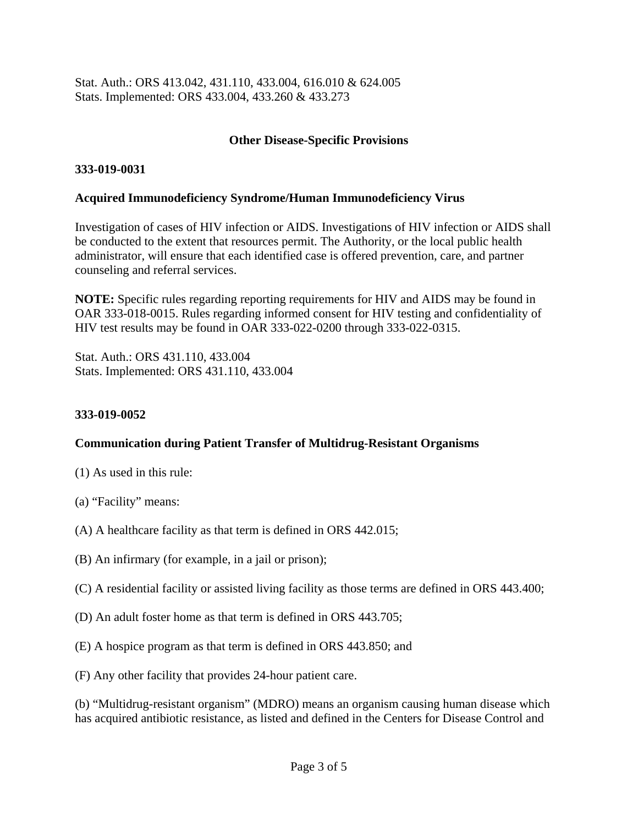Stat. Auth.: ORS 413.042, 431.110, 433.004, 616.010 & 624.005 Stats. Implemented: ORS 433.004, 433.260 & 433.273

### **Other Disease-Specific Provisions**

### **333-019-0031**

### **Acquired Immunodeficiency Syndrome/Human Immunodeficiency Virus**

Investigation of cases of HIV infection or AIDS. Investigations of HIV infection or AIDS shall be conducted to the extent that resources permit. The Authority, or the local public health administrator, will ensure that each identified case is offered prevention, care, and partner counseling and referral services.

**NOTE:** Specific rules regarding reporting requirements for HIV and AIDS may be found in OAR 333-018-0015. Rules regarding informed consent for HIV testing and confidentiality of HIV test results may be found in OAR 333-022-0200 through 333-022-0315.

Stat. Auth.: ORS 431.110, 433.004 Stats. Implemented: ORS 431.110, 433.004

#### **333-019-0052**

### **Communication during Patient Transfer of Multidrug-Resistant Organisms**

- (1) As used in this rule:
- (a) "Facility" means:
- (A) A healthcare facility as that term is defined in ORS 442.015;
- (B) An infirmary (for example, in a jail or prison);
- (C) A residential facility or assisted living facility as those terms are defined in ORS 443.400;
- (D) An adult foster home as that term is defined in ORS 443.705;
- (E) A hospice program as that term is defined in ORS 443.850; and
- (F) Any other facility that provides 24-hour patient care.

(b) "Multidrug-resistant organism" (MDRO) means an organism causing human disease which has acquired antibiotic resistance, as listed and defined in the Centers for Disease Control and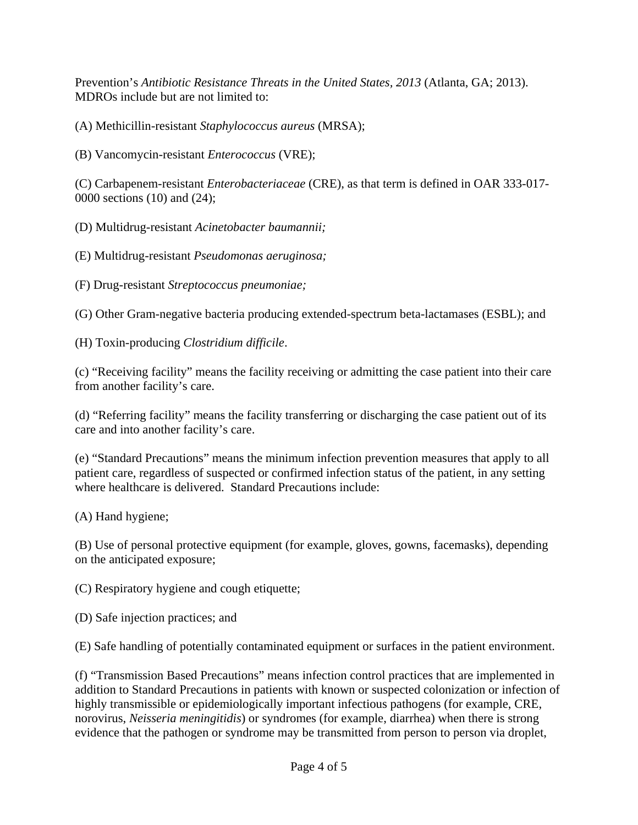Prevention's *Antibiotic Resistance Threats in the United States, 2013* (Atlanta, GA; 2013). MDROs include but are not limited to:

(A) Methicillin-resistant *Staphylococcus aureus* (MRSA);

(B) Vancomycin-resistant *Enterococcus* (VRE);

(C) Carbapenem-resistant *Enterobacteriaceae* (CRE), as that term is defined in OAR 333-017- 0000 sections (10) and (24);

(D) Multidrug-resistant *Acinetobacter baumannii;* 

(E) Multidrug-resistant *Pseudomonas aeruginosa;* 

(F) Drug-resistant *Streptococcus pneumoniae;* 

(G) Other Gram-negative bacteria producing extended-spectrum beta-lactamases (ESBL); and

(H) Toxin-producing *Clostridium difficile*.

(c) "Receiving facility" means the facility receiving or admitting the case patient into their care from another facility's care.

(d) "Referring facility" means the facility transferring or discharging the case patient out of its care and into another facility's care.

(e) "Standard Precautions" means the minimum infection prevention measures that apply to all patient care, regardless of suspected or confirmed infection status of the patient, in any setting where healthcare is delivered. Standard Precautions include:

(A) Hand hygiene;

(B) Use of personal protective equipment (for example, gloves, gowns, facemasks), depending on the anticipated exposure;

(C) Respiratory hygiene and cough etiquette;

(D) Safe injection practices; and

(E) Safe handling of potentially contaminated equipment or surfaces in the patient environment.

(f) "Transmission Based Precautions" means infection control practices that are implemented in addition to Standard Precautions in patients with known or suspected colonization or infection of highly transmissible or epidemiologically important infectious pathogens (for example, CRE, norovirus, *Neisseria meningitidis*) or syndromes (for example, diarrhea) when there is strong evidence that the pathogen or syndrome may be transmitted from person to person via droplet,